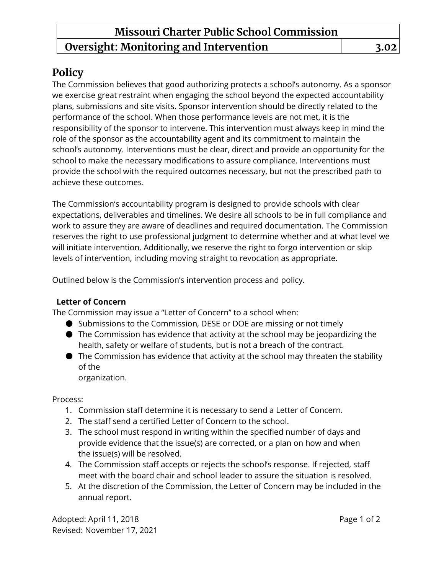## **Policy**

The Commission believes that good authorizing protects a school's autonomy. As a sponsor we exercise great restraint when engaging the school beyond the expected accountability plans, submissions and site visits. Sponsor intervention should be directly related to the performance of the school. When those performance levels are not met, it is the responsibility of the sponsor to intervene. This intervention must always keep in mind the role of the sponsor as the accountability agent and its commitment to maintain the school's autonomy. Interventions must be clear, direct and provide an opportunity for the school to make the necessary modifications to assure compliance. Interventions must provide the school with the required outcomes necessary, but not the prescribed path to achieve these outcomes.

The Commission's accountability program is designed to provide schools with clear expectations, deliverables and timelines. We desire all schools to be in full compliance and work to assure they are aware of deadlines and required documentation. The Commission reserves the right to use professional judgment to determine whether and at what level we will initiate intervention. Additionally, we reserve the right to forgo intervention or skip levels of intervention, including moving straight to revocation as appropriate.

Outlined below is the Commission's intervention process and policy.

### **Letter of Concern**

The Commission may issue a "Letter of Concern" to a school when:

- Submissions to the Commission, DESE or DOE are missing or not timely
- The Commission has evidence that activity at the school may be jeopardizing the health, safety or welfare of students, but is not a breach of the contract.
- The Commission has evidence that activity at the school may threaten the stability of the

organization.

Process:

- 1. Commission staff determine it is necessary to send a Letter of Concern.
- 2. The staff send a certified Letter of Concern to the school.
- 3. The school must respond in writing within the specified number of days and provide evidence that the issue(s) are corrected, or a plan on how and when the issue(s) will be resolved.
- 4. The Commission staff accepts or rejects the school's response. If rejected, staff meet with the board chair and school leader to assure the situation is resolved.
- 5. At the discretion of the Commission, the Letter of Concern may be included in the annual report.

Adopted: April 11, 2018 **Page 1 of 2** Revised: November 17, 2021